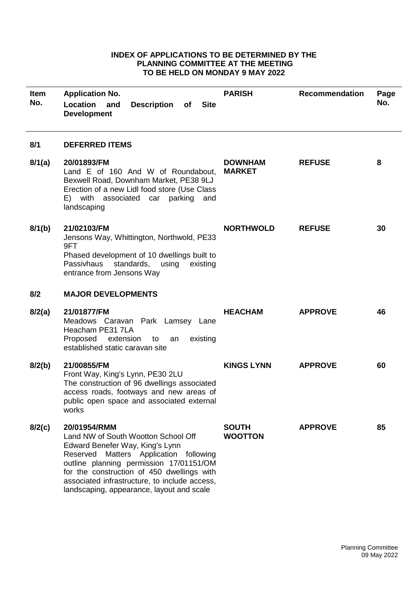## **INDEX OF APPLICATIONS TO BE DETERMINED BY THE PLANNING COMMITTEE AT THE MEETING TO BE HELD ON MONDAY 9 MAY 2022**

| <b>Item</b><br>No. | <b>Application No.</b><br>Location<br><b>Description</b><br><b>Site</b><br>and<br>of<br><b>Development</b>                                                                                                                                                                                                                 | <b>PARISH</b>                   | <b>Recommendation</b> | Page<br>No. |
|--------------------|----------------------------------------------------------------------------------------------------------------------------------------------------------------------------------------------------------------------------------------------------------------------------------------------------------------------------|---------------------------------|-----------------------|-------------|
| 8/1                | <b>DEFERRED ITEMS</b>                                                                                                                                                                                                                                                                                                      |                                 |                       |             |
| 8/1(a)             | 20/01893/FM<br>Land E of 160 And W of Roundabout,<br>Bexwell Road, Downham Market, PE38 9LJ<br>Erection of a new Lidl food store (Use Class<br>E) with associated car parking and<br>landscaping                                                                                                                           | <b>DOWNHAM</b><br><b>MARKET</b> | <b>REFUSE</b>         | 8           |
| 8/1(b)             | 21/02103/FM<br>Jensons Way, Whittington, Northwold, PE33<br>9FT<br>Phased development of 10 dwellings built to<br>Passivhaus<br>standards,<br>existing<br>using<br>entrance from Jensons Way                                                                                                                               | <b>NORTHWOLD</b>                | <b>REFUSE</b>         | 30          |
| 8/2                | <b>MAJOR DEVELOPMENTS</b>                                                                                                                                                                                                                                                                                                  |                                 |                       |             |
| 8/2(a)             | 21/01877/FM<br>Meadows Caravan Park Lamsey Lane<br>Heacham PE31 7LA<br>Proposed<br>extension<br>existing<br>to<br>an<br>established static caravan site                                                                                                                                                                    | <b>HEACHAM</b>                  | <b>APPROVE</b>        | 46          |
| 8/2(b)             | 21/00855/FM<br>Front Way, King's Lynn, PE30 2LU<br>The construction of 96 dwellings associated<br>access roads, footways and new areas of<br>public open space and associated external<br>works                                                                                                                            | <b>KINGS LYNN</b>               | <b>APPROVE</b>        | 60          |
| 8/2(c)             | 20/01954/RMM<br>Land NW of South Wootton School Off<br>Edward Benefer Way, King's Lynn<br>Reserved<br>Matters Application following<br>outline planning permission 17/01151/OM<br>for the construction of 450 dwellings with<br>associated infrastructure, to include access,<br>landscaping, appearance, layout and scale | <b>SOUTH</b><br><b>WOOTTON</b>  | <b>APPROVE</b>        | 85          |